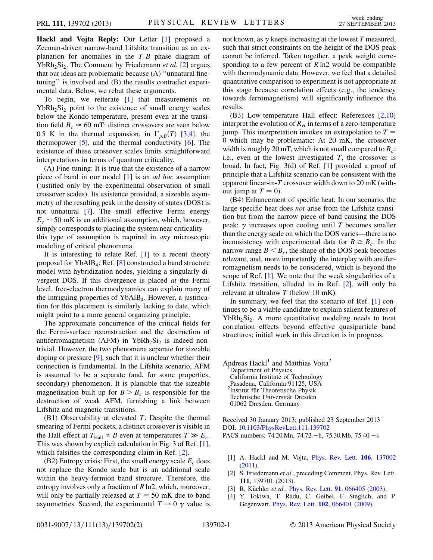Hackl and Vojta Reply: Our Letter [\[1\]](#page-0-0) proposed a Zeeman-driven narrow-band Lifshitz transition as an explanation for anomalies in the  $T-B$  phase diagram of  $YbRh<sub>2</sub>Si<sub>2</sub>$ . The Comment by Friedemann *et al.* [\[2](#page-0-1)] argues that our ideas are problematic because (A) ''unnatural finetuning'' is involved and (B) the results contradict experimental data. Below, we rebut these arguments.

To begin, we reiterate [\[1\]](#page-0-0) that measurements on  $YbRh<sub>2</sub>Si<sub>2</sub>$  point to the existence of small energy scales below the Kondo temperature, present even at the transition field  $B_c \approx 60$  mT: distinct crossovers are seen below 0.5 K in the thermal expansion, in  $\Gamma_{p,B}(T)$  [\[3,](#page-0-2)[4](#page-0-3)], the thermopower  $[5]$  $[5]$ , and the thermal conductivity  $[6]$  $[6]$  $[6]$ . The existence of these crossover scales limits straightforward interpretations in terms of quantum criticality.

(A) Fine-tuning: It is true that the existence of a narrow piece of band in our model [[1\]](#page-0-0) is an ad hoc assumption (justified only by the experimental observation of small crossover scales). Its existence provided, a sizeable asymmetry of the resulting peak in the density of states (DOS) is not unnatural [\[7\]](#page-1-2). The small effective Fermi energy  $E_c \sim 50$  mK is an additional assumption, which, however, simply corresponds to placing the system near criticality this type of assumption is required in any microscopic modeling of critical phenomena.

It is interesting to relate Ref.  $[1]$  $[1]$  $[1]$  to a recent theory proposal for YbAlB4: Ref. [\[8\]](#page-1-3) constructed a band structure model with hybridization nodes, yielding a singularly divergent DOS. If this divergence is placed at the Fermi level, free-electron thermodynamics can explain many of the intriguing properties of  $YbAlB<sub>4</sub>$ . However, a justification for this placement is similarly lacking to date, which might point to a more general organizing principle.

The approximate concurrence of the critical fields for the Fermi-surface reconstruction and the destruction of antiferromagnetism (AFM) in YbRh<sub>2</sub>Si<sub>2</sub> is indeed nontrivial. However, the two phenomena separate for sizeable doping or pressure [[9](#page-1-4)], such that it is unclear whether their connection is fundamental. In the Lifshitz scenario, AFM is assumed to be a separate (and, for some properties, secondary) phenomenon. It is plausible that the sizeable magnetization built up for  $B > B_c$  is responsible for the destruction of weak AFM, furnishing a link between Lifshitz and magnetic transitions.

 $(B1)$  Observability at elevated T: Despite the thermal smearing of Fermi pockets, a distinct crossover is visible in the Hall effect at  $T_{\text{Hall}} \propto B$  even at temperatures  $T \gg E_c$ . This was shown by explicit calculation in Fig. 3 of Ref. [[1\]](#page-0-0), which falsifies the corresponding claim in Ref. [[2](#page-0-1)].

(B2) Entropy crisis: First, the small energy scale  $E_c$  does not replace the Kondo scale but is an additional scale within the heavy-fermion band structure. Therefore, the entropy involves only a fraction of R ln2, which, moreover, will only be partially released at  $T = 50$  mK due to band asymmetries. Second, the experimental  $T \rightarrow 0$   $\gamma$  value is not known, as  $\gamma$  keeps increasing at the lowest T measured, such that strict constraints on the height of the DOS peak cannot be inferred. Taken together, a peak weight corresponding to a few percent of  $R \ln 2$  would be compatible with thermodynamic data. However, we feel that a detailed quantitative comparison to experiment is not appropriate at this stage because correlation effects (e.g., the tendency towards ferromagnetism) will significantly influence the results.

(B3) Low-temperature Hall effect: References [\[2,](#page-0-1)[10\]](#page-1-5) interpret the evolution of  $R_H$  in terms of a zero-temperature jump. This interpretation invokes an extrapolation to  $T =$ 0 which may be problematic: At 20 mK, the crossover width is roughly 20 mT, which is not small compared to  $B_c$ ; i.e., even at the lowest investigated  $T$ , the crossover is broad. In fact, Fig. 3(d) of Ref. [[1\]](#page-0-0) provided a proof of principle that a Lifshitz scenario can be consistent with the apparent linear-in-T crossover width down to 20 mK (without jump at  $T = 0$ ).

(B4) Enhancement of specific heat: In our scenario, the large specific heat does not arise from the Lifshitz transition but from the narrow piece of band causing the DOS peak:  $\gamma$  increases upon cooling until T becomes smaller than the energy scale on which the DOS varies—there is no inconsistency with experimental data for  $B \geq B_c$ . In the narrow range  $B < B_c$ , the shape of the DOS peak becomes relevant, and, more importantly, the interplay with antiferromagnetism needs to be considered, which is beyond the scope of Ref.  $[1]$  $[1]$ . We note that the weak singularities of a Lifshitz transition, alluded to in Ref. [[2\]](#page-0-1), will only be relevant at ultralow T (below 10 mK).

In summary, we feel that the scenario of Ref. [\[1](#page-0-0)] continues to be a viable candidate to explain salient features of  $YbRh<sub>2</sub>Si<sub>2</sub>$ . A more quantitative modeling needs to treat correlation effects beyond effective quasiparticle band structures; initial work in this direction is in progress.

Andreas  $Hackl<sup>1</sup>$  and Matthias Vojta<sup>2</sup> <sup>1</sup>Department of Physics California Institute of Technology Pasadena, California 91125, USA <sup>2</sup>Institut für Theoretische Physik Technische Universität Dresden 01062 Dresden, Germany

Received 30 January 2013; published 23 September 2013 DOI: [10.1103/PhysRevLett.111.139702](http://dx.doi.org/10.1103/PhysRevLett.111.139702)

<span id="page-0-0"></span>PACS numbers: 74.20.Mn, 74.72. - h, 75.30.Mb, 75.40. - s

- <span id="page-0-1"></span>[1] A. Hackl and M. Vojta, [Phys. Rev. Lett.](http://dx.doi.org/10.1103/PhysRevLett.106.137002) 106, 137002 [\(2011\)](http://dx.doi.org/10.1103/PhysRevLett.106.137002).
- <span id="page-0-3"></span><span id="page-0-2"></span>[2] S. Friedemann et al., preceding Comment, Phys. Rev. Lett. 111, 139701 (2013).
- [3] R. Küchler et al., Phys. Rev. Lett. **91**[, 066405 \(2003\).](http://dx.doi.org/10.1103/PhysRevLett.91.066405)
- [4] Y. Tokiwa, T. Radu, C. Geibel, F. Steglich, and P. Gegenwart, Phys. Rev. Lett. 102[, 066401 \(2009\)](http://dx.doi.org/10.1103/PhysRevLett.102.066401).